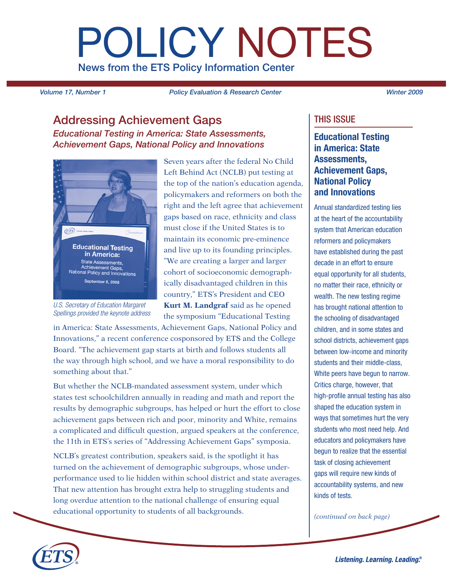# POLICY NOTES News from the ETS Policy Information Center

*Volume 17, Number 1 Policy Evaluation & Research Center Winter 2009*

# Addressing Achievement Gaps

*Educational Testing in America: State Assessments, Achievement Gaps, National Policy and Innovations*



*U.S. Secretary of Education Margaret Spellings provided the keynote address*

Seven years after the federal No Child Left Behind Act (NCLB) put testing at the top of the nation's education agenda, policymakers and reformers on both the right and the left agree that achievement gaps based on race, ethnicity and class must close if the United States is to maintain its economic pre-eminence and live up to its founding principles. "We are creating a larger and larger cohort of socioeconomic demographically disadvantaged children in this country," ETS's President and CEO **Kurt M. Landgraf** said as he opened the symposium "Educational Testing

in America: State Assessments, Achievement Gaps, National Policy and Innovations," a recent conference cosponsored by ETS and the College Board. "The achievement gap starts at birth and follows students all the way through high school, and we have a moral responsibility to do something about that."

But whether the NCLB-mandated assessment system, under which states test schoolchildren annually in reading and math and report the results by demographic subgroups, has helped or hurt the effort to close achievement gaps between rich and poor, minority and White, remains a complicated and difficult question, argued speakers at the conference, the 11th in ETS's series of "Addressing Achievement Gaps" symposia.

NCLB's greatest contribution, speakers said, is the spotlight it has turned on the achievement of demographic subgroups, whose underperformance used to lie hidden within school district and state averages. That new attention has brought extra help to struggling students and long overdue attention to the national challenge of ensuring equal educational opportunity to students of all backgrounds.

# THIS ISSUE

Educational Testing in America: State Assessments, Achievement Gaps, National Policy and Innovations

Annual standardized testing lies at the heart of the accountability system that American education reformers and policymakers have established during the past decade in an effort to ensure equal opportunity for all students, no matter their race, ethnicity or wealth. The new testing regime has brought national attention to the schooling of disadvantaged children, and in some states and school districts, achievement gaps between low-income and minority students and their middle-class, White peers have begun to narrow. Critics charge, however, that high-profile annual testing has also shaped the education system in ways that sometimes hurt the very students who most need help. And educators and policymakers have begun to realize that the essential task of closing achievement gaps will require new kinds of accountability systems, and new kinds of tests.

*(continued on back page)*

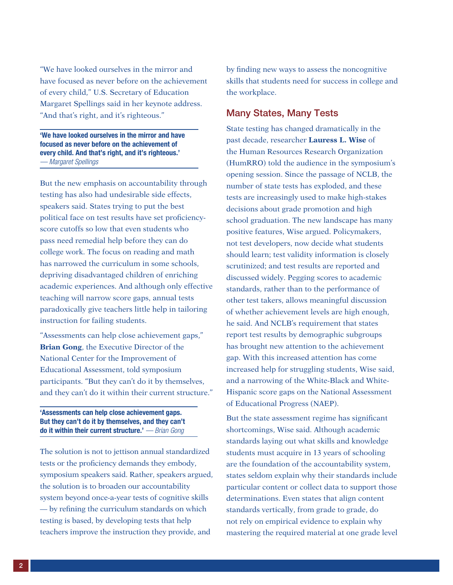"We have looked ourselves in the mirror and have focused as never before on the achievement of every child," U.S. Secretary of Education Margaret Spellings said in her keynote address. "And that's right, and it's righteous."

'We have looked ourselves in the mirror and have focused as never before on the achievement of every child. And that's right, and it's righteous.' *— Margaret Spellings*

But the new emphasis on accountability through testing has also had undesirable side effects, speakers said. States trying to put the best political face on test results have set proficiencyscore cutoffs so low that even students who pass need remedial help before they can do college work. The focus on reading and math has narrowed the curriculum in some schools, depriving disadvantaged children of enriching academic experiences. And although only effective teaching will narrow score gaps, annual tests paradoxically give teachers little help in tailoring instruction for failing students.

"Assessments can help close achievement gaps," **Brian Gong**, the Executive Director of the National Center for the Improvement of Educational Assessment, told symposium participants. "But they can't do it by themselves, and they can't do it within their current structure."

#### 'Assessments can help close achievement gaps. But they can't do it by themselves, and they can't do it within their current structure.' *— Brian Gong*

The solution is not to jettison annual standardized tests or the proficiency demands they embody, symposium speakers said. Rather, speakers argued, the solution is to broaden our accountability system beyond once-a-year tests of cognitive skills — by refining the curriculum standards on which testing is based, by developing tests that help teachers improve the instruction they provide, and

by finding new ways to assess the noncognitive skills that students need for success in college and the workplace.

## Many States, Many Tests

State testing has changed dramatically in the past decade, researcher **Lauress L. Wise** of the Human Resources Research Organization (HumRRO) told the audience in the symposium's opening session. Since the passage of NCLB, the number of state tests has exploded, and these tests are increasingly used to make high-stakes decisions about grade promotion and high school graduation. The new landscape has many positive features, Wise argued. Policymakers, not test developers, now decide what students should learn; test validity information is closely scrutinized; and test results are reported and discussed widely. Pegging scores to academic standards, rather than to the performance of other test takers, allows meaningful discussion of whether achievement levels are high enough, he said. And NCLB's requirement that states report test results by demographic subgroups has brought new attention to the achievement gap. With this increased attention has come increased help for struggling students, Wise said, and a narrowing of the White-Black and White-Hispanic score gaps on the National Assessment of Educational Progress (NAEP).

But the state assessment regime has significant shortcomings, Wise said. Although academic standards laying out what skills and knowledge students must acquire in 13 years of schooling are the foundation of the accountability system, states seldom explain why their standards include particular content or collect data to support those determinations. Even states that align content standards vertically, from grade to grade, do not rely on empirical evidence to explain why mastering the required material at one grade level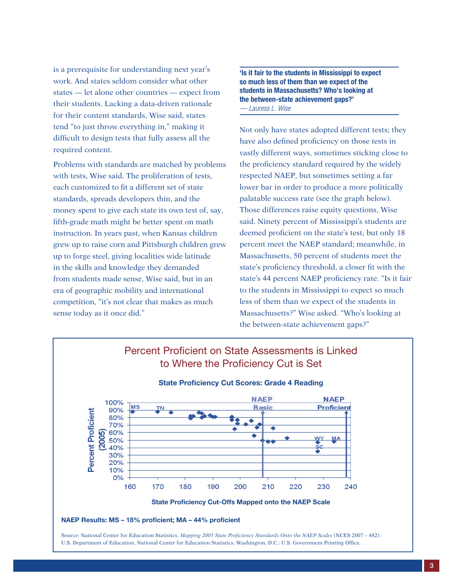is a prerequisite for understanding next year's work. And states seldom consider what other states — let alone other countries — expect from their students. Lacking a data-driven rationale for their content standards, Wise said, states tend "to just throw everything in," making it difficult to design tests that fully assess all the required content.

Problems with standards are matched by problems with tests, Wise said. The proliferation of tests, each customized to fit a different set of state standards, spreads developers thin, and the money spent to give each state its own test of, say, fifth-grade math might be better spent on math instruction. In years past, when Kansas children grew up to raise corn and Pittsburgh children grew up to forge steel, giving localities wide latitude in the skills and knowledge they demanded from students made sense, Wise said, but in an era of geographic mobility and international competition, "it's not clear that makes as much sense today as it once did."

'Is it fair to the students in Mississippi to expect so much less of them than we expect of the students in Massachusetts? Who's looking at the between-state achievement gaps?' *— Lauress L. Wise*

Not only have states adopted different tests; they have also defined proficiency on those tests in vastly different ways, sometimes sticking close to the proficiency standard required by the widely respected NAEP, but sometimes setting a far lower bar in order to produce a more politically palatable success rate (see the graph below). Those differences raise equity questions, Wise said. Ninety percent of Mississippi's students are deemed proficient on the state's test, but only 18 percent meet the NAEP standard; meanwhile, in Massachusetts, 50 percent of students meet the state's proficiency threshold, a closer fit with the state's 44 percent NAEP proficiency rate. "Is it fair to the students in Mississippi to expect so much less of them than we expect of the students in Massachusetts?" Wise asked. "Who's looking at the between-state achievement gaps?"

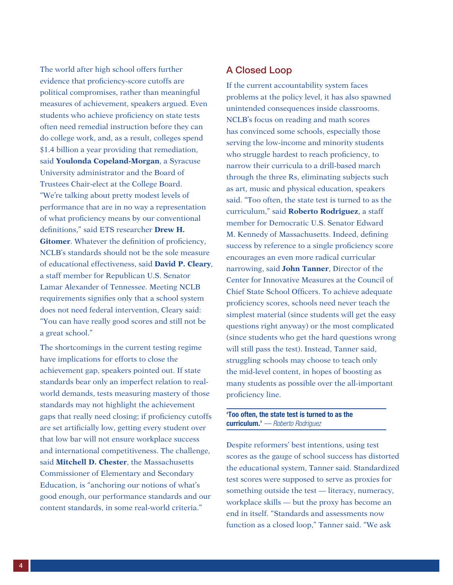The world after high school offers further evidence that proficiency-score cutoffs are political compromises, rather than meaningful measures of achievement, speakers argued. Even students who achieve proficiency on state tests often need remedial instruction before they can do college work, and, as a result, colleges spend \$1.4 billion a year providing that remediation, said **Youlonda Copeland-Morgan**, a Syracuse University administrator and the Board of Trustees Chair-elect at the College Board. "We're talking about pretty modest levels of performance that are in no way a representation of what proficiency means by our conventional definitions," said ETS researcher **Drew H. Gitomer**. Whatever the definition of proficiency, NCLB's standards should not be the sole measure of educational effectiveness, said **David P. Cleary**, a staff member for Republican U.S. Senator Lamar Alexander of Tennessee. Meeting NCLB requirements signifies only that a school system does not need federal intervention, Cleary said: "You can have really good scores and still not be a great school."

The shortcomings in the current testing regime have implications for efforts to close the achievement gap, speakers pointed out. If state standards bear only an imperfect relation to realworld demands, tests measuring mastery of those standards may not highlight the achievement gaps that really need closing; if proficiency cutoffs are set artificially low, getting every student over that low bar will not ensure workplace success and international competitiveness. The challenge, said **Mitchell D. Chester**, the Massachusetts Commissioner of Elementary and Secondary Education, is "anchoring our notions of what's good enough, our performance standards and our content standards, in some real-world criteria."

## A Closed Loop

If the current accountability system faces problems at the policy level, it has also spawned unintended consequences inside classrooms. NCLB's focus on reading and math scores has convinced some schools, especially those serving the low-income and minority students who struggle hardest to reach proficiency, to narrow their curricula to a drill-based march through the three Rs, eliminating subjects such as art, music and physical education, speakers said. "Too often, the state test is turned to as the curriculum," said **Roberto Rodriguez**, a staff member for Democratic U.S. Senator Edward M. Kennedy of Massachusetts. Indeed, defining success by reference to a single proficiency score encourages an even more radical curricular narrowing, said **John Tanner**, Director of the Center for Innovative Measures at the Council of Chief State School Officers. To achieve adequate proficiency scores, schools need never teach the simplest material (since students will get the easy questions right anyway) or the most complicated (since students who get the hard questions wrong will still pass the test). Instead, Tanner said, struggling schools may choose to teach only the mid-level content, in hopes of boosting as many students as possible over the all-important proficiency line.

#### 'Too often, the state test is turned to as the curriculum.' *— Roberto Rodriguez*

Despite reformers' best intentions, using test scores as the gauge of school success has distorted the educational system, Tanner said. Standardized test scores were supposed to serve as proxies for something outside the test — literacy, numeracy, workplace skills — but the proxy has become an end in itself. "Standards and assessments now function as a closed loop," Tanner said. "We ask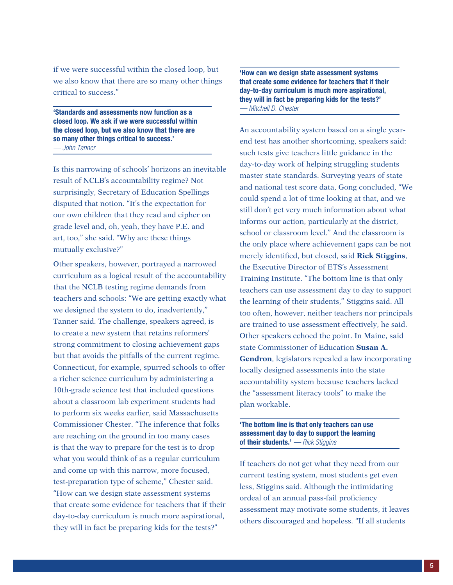if we were successful within the closed loop, but we also know that there are so many other things critical to success."

'Standards and assessments now function as a closed loop. We ask if we were successful within the closed loop, but we also know that there are so many other things critical to success.' *— John Tanner*

Is this narrowing of schools' horizons an inevitable result of NCLB's accountability regime? Not surprisingly, Secretary of Education Spellings disputed that notion. "It's the expectation for our own children that they read and cipher on grade level and, oh, yeah, they have P.E. and art, too," she said. "Why are these things mutually exclusive?"

Other speakers, however, portrayed a narrowed curriculum as a logical result of the accountability that the NCLB testing regime demands from teachers and schools: "We are getting exactly what we designed the system to do, inadvertently," Tanner said. The challenge, speakers agreed, is to create a new system that retains reformers' strong commitment to closing achievement gaps but that avoids the pitfalls of the current regime. Connecticut, for example, spurred schools to offer a richer science curriculum by administering a 10th-grade science test that included questions about a classroom lab experiment students had to perform six weeks earlier, said Massachusetts Commissioner Chester. "The inference that folks are reaching on the ground in too many cases is that the way to prepare for the test is to drop what you would think of as a regular curriculum and come up with this narrow, more focused, test-preparation type of scheme," Chester said. "How can we design state assessment systems that create some evidence for teachers that if their day-to-day curriculum is much more aspirational, they will in fact be preparing kids for the tests?"

'How can we design state assessment systems that create some evidence for teachers that if their day-to-day curriculum is much more aspirational, they will in fact be preparing kids for the tests?' *— Mitchell D. Chester*

An accountability system based on a single yearend test has another shortcoming, speakers said: such tests give teachers little guidance in the day-to-day work of helping struggling students master state standards. Surveying years of state and national test score data, Gong concluded, "We could spend a lot of time looking at that, and we still don't get very much information about what informs our action, particularly at the district, school or classroom level." And the classroom is the only place where achievement gaps can be not merely identified, but closed, said **Rick Stiggins**, the Executive Director of ETS's Assessment Training Institute. "The bottom line is that only teachers can use assessment day to day to support the learning of their students," Stiggins said. All too often, however, neither teachers nor principals are trained to use assessment effectively, he said. Other speakers echoed the point. In Maine, said state Commissioner of Education **Susan A. Gendron**, legislators repealed a law incorporating locally designed assessments into the state accountability system because teachers lacked the "assessment literacy tools" to make the plan workable.

'The bottom line is that only teachers can use assessment day to day to support the learning of their students.' *— Rick Stiggins*

If teachers do not get what they need from our current testing system, most students get even less, Stiggins said. Although the intimidating ordeal of an annual pass-fail proficiency assessment may motivate some students, it leaves others discouraged and hopeless. "If all students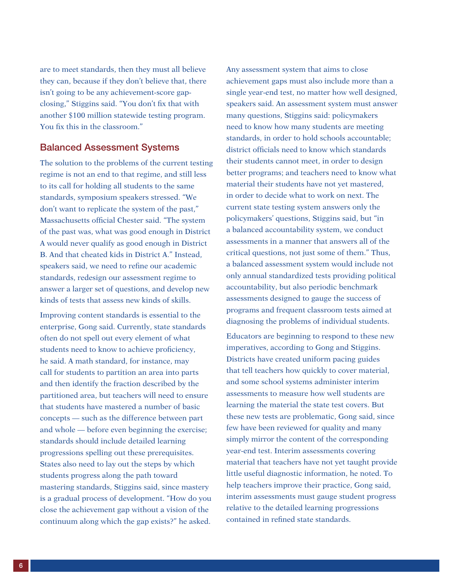are to meet standards, then they must all believe they can, because if they don't believe that, there isn't going to be any achievement-score gapclosing," Stiggins said. "You don't fix that with another \$100 million statewide testing program. You fix this in the classroom."

### Balanced Assessment Systems

The solution to the problems of the current testing regime is not an end to that regime, and still less to its call for holding all students to the same standards, symposium speakers stressed. "We don't want to replicate the system of the past," Massachusetts official Chester said. "The system of the past was, what was good enough in District A would never qualify as good enough in District B. And that cheated kids in District A." Instead, speakers said, we need to refine our academic standards, redesign our assessment regime to answer a larger set of questions, and develop new kinds of tests that assess new kinds of skills.

Improving content standards is essential to the enterprise, Gong said. Currently, state standards often do not spell out every element of what students need to know to achieve proficiency, he said. A math standard, for instance, may call for students to partition an area into parts and then identify the fraction described by the partitioned area, but teachers will need to ensure that students have mastered a number of basic concepts — such as the difference between part and whole — before even beginning the exercise; standards should include detailed learning progressions spelling out these prerequisites. States also need to lay out the steps by which students progress along the path toward mastering standards, Stiggins said, since mastery is a gradual process of development. "How do you close the achievement gap without a vision of the continuum along which the gap exists?" he asked.

Any assessment system that aims to close achievement gaps must also include more than a single year-end test, no matter how well designed, speakers said. An assessment system must answer many questions, Stiggins said: policymakers need to know how many students are meeting standards, in order to hold schools accountable; district officials need to know which standards their students cannot meet, in order to design better programs; and teachers need to know what material their students have not yet mastered, in order to decide what to work on next. The current state testing system answers only the policymakers' questions, Stiggins said, but "in a balanced accountability system, we conduct assessments in a manner that answers all of the critical questions, not just some of them." Thus, a balanced assessment system would include not only annual standardized tests providing political accountability, but also periodic benchmark assessments designed to gauge the success of programs and frequent classroom tests aimed at diagnosing the problems of individual students.

Educators are beginning to respond to these new imperatives, according to Gong and Stiggins. Districts have created uniform pacing guides that tell teachers how quickly to cover material, and some school systems administer interim assessments to measure how well students are learning the material the state test covers. But these new tests are problematic, Gong said, since few have been reviewed for quality and many simply mirror the content of the corresponding year-end test. Interim assessments covering material that teachers have not yet taught provide little useful diagnostic information, he noted. To help teachers improve their practice, Gong said, interim assessments must gauge student progress relative to the detailed learning progressions contained in refined state standards.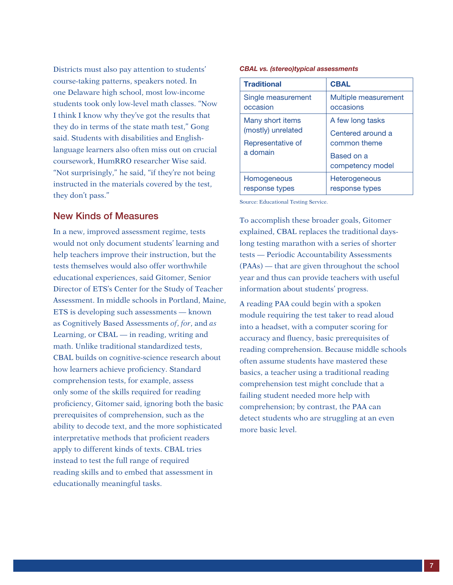Districts must also pay attention to students' course-taking patterns, speakers noted. In one Delaware high school, most low-income students took only low-level math classes. "Now I think I know why they've got the results that they do in terms of the state math test," Gong said. Students with disabilities and Englishlanguage learners also often miss out on crucial coursework, HumRRO researcher Wise said. "Not surprisingly," he said, "if they're not being instructed in the materials covered by the test, they don't pass."

#### New Kinds of Measures

In a new, improved assessment regime, tests would not only document students' learning and help teachers improve their instruction, but the tests themselves would also offer worthwhile educational experiences, said Gitomer, Senior Director of ETS's Center for the Study of Teacher Assessment. In middle schools in Portland, Maine, ETS is developing such assessments — known as Cognitively Based Assessments *of*, *for*, and *as* Learning, or CBAL — in reading, writing and math. Unlike traditional standardized tests, CBAL builds on cognitive-science research about how learners achieve proficiency. Standard comprehension tests, for example, assess only some of the skills required for reading proficiency, Gitomer said, ignoring both the basic prerequisites of comprehension, such as the ability to decode text, and the more sophisticated interpretative methods that proficient readers apply to different kinds of texts. CBAL tries instead to test the full range of required reading skills and to embed that assessment in educationally meaningful tasks.

#### *CBAL vs. (stereo)typical assessments*

| <b>Traditional</b>                                                      | <b>CBAL</b>                                     |  |                               |
|-------------------------------------------------------------------------|-------------------------------------------------|--|-------------------------------|
| Single measurement<br>occasion                                          | Multiple measurement<br>occasions               |  |                               |
| Many short items<br>(mostly) unrelated<br>Representative of<br>a domain | A few long tasks                                |  |                               |
|                                                                         | Centered around a<br>common theme<br>Based on a |  |                               |
|                                                                         |                                                 |  | competency model              |
|                                                                         |                                                 |  | Homogeneous<br>response types |
|                                                                         | response types                                  |  |                               |

Source: Educational Testing Service.

To accomplish these broader goals, Gitomer explained, CBAL replaces the traditional dayslong testing marathon with a series of shorter tests — Periodic Accountability Assessments (PAAs) — that are given throughout the school year and thus can provide teachers with useful information about students' progress.

A reading PAA could begin with a spoken module requiring the test taker to read aloud into a headset, with a computer scoring for accuracy and fluency, basic prerequisites of reading comprehension. Because middle schools often assume students have mastered these basics, a teacher using a traditional reading comprehension test might conclude that a failing student needed more help with comprehension; by contrast, the PAA can detect students who are struggling at an even more basic level.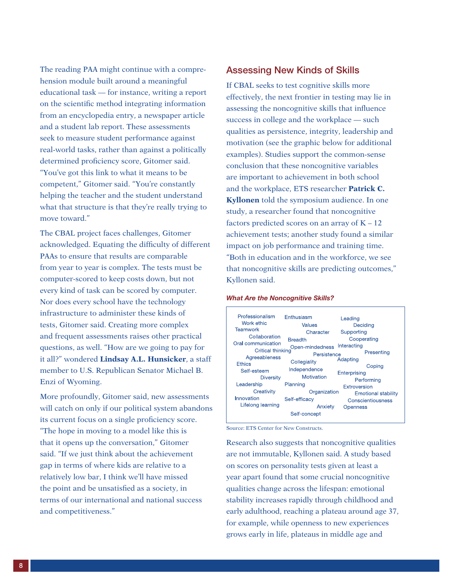The reading PAA might continue with a comprehension module built around a meaningful educational task — for instance, writing a report on the scientific method integrating information from an encyclopedia entry, a newspaper article and a student lab report. These assessments seek to measure student performance against real-world tasks, rather than against a politically determined proficiency score, Gitomer said. "You've got this link to what it means to be competent," Gitomer said. "You're constantly helping the teacher and the student understand what that structure is that they're really trying to move toward."

The CBAL project faces challenges, Gitomer acknowledged. Equating the difficulty of different PAAs to ensure that results are comparable from year to year is complex. The tests must be computer-scored to keep costs down, but not every kind of task can be scored by computer. Nor does every school have the technology infrastructure to administer these kinds of tests, Gitomer said. Creating more complex and frequent assessments raises other practical questions, as well. "How are we going to pay for it all?" wondered **Lindsay A.L. Hunsicker**, a staff member to U.S. Republican Senator Michael B. Enzi of Wyoming.

More profoundly, Gitomer said, new assessments will catch on only if our political system abandons its current focus on a single proficiency score. "The hope in moving to a model like this is that it opens up the conversation," Gitomer said. "If we just think about the achievement gap in terms of where kids are relative to a relatively low bar, I think we'll have missed the point and be unsatisfied as a society, in terms of our international and national success and competitiveness."

#### Assessing New Kinds of Skills

If CBAL seeks to test cognitive skills more effectively, the next frontier in testing may lie in assessing the noncognitive skills that influence success in college and the workplace — such qualities as persistence, integrity, leadership and motivation (see the graphic below for additional examples). Studies support the common-sense conclusion that these noncognitive variables are important to achievement in both school and the workplace, ETS researcher **Patrick C. Kyllonen** told the symposium audience. In one study, a researcher found that noncognitive factors predicted scores on an array of  $K - 12$ achievement tests; another study found a similar impact on job performance and training time. "Both in education and in the workforce, we see that noncognitive skills are predicting outcomes," Kyllonen said.

#### *What Are the Noncognitive Skills?*



Source: ETS Center for New Constructs.

Research also suggests that noncognitive qualities are not immutable, Kyllonen said. A study based on scores on personality tests given at least a year apart found that some crucial noncognitive qualities change across the lifespan: emotional stability increases rapidly through childhood and early adulthood, reaching a plateau around age 37, for example, while openness to new experiences grows early in life, plateaus in middle age and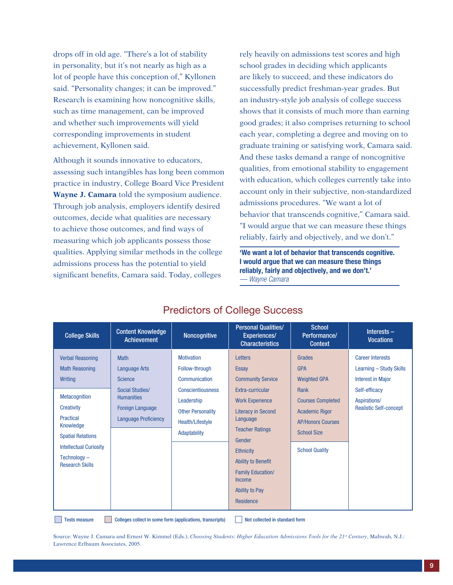drops off in old age. "There's a lot of stability in personality, but it's not nearly as high as a lot of people have this conception of," Kyllonen said. "Personality changes; it can be improved." Research is examining how noncognitive skills, such as time management, can be improved and whether such improvements will yield corresponding improvements in student achievement, Kyllonen said.

Although it sounds innovative to educators, assessing such intangibles has long been common practice in industry, College Board Vice President **Wayne J. Camara** told the symposium audience. Through job analysis, employers identify desired outcomes, decide what qualities are necessary to achieve those outcomes, and find ways of measuring which job applicants possess those qualities. Applying similar methods in the college admissions process has the potential to yield significant benefits, Camara said. Today, colleges

rely heavily on admissions test scores and high school grades in deciding which applicants are likely to succeed, and these indicators do successfully predict freshman-year grades. But an industry-style job analysis of college success shows that it consists of much more than earning good grades; it also comprises returning to school each year, completing a degree and moving on to graduate training or satisfying work, Camara said. And these tasks demand a range of noncognitive qualities, from emotional stability to engagement with education, which colleges currently take into account only in their subjective, non-standardized admissions procedures. "We want a lot of behavior that transcends cognitive," Camara said. "I would argue that we can measure these things reliably, fairly and objectively, and we don't."

'We want a lot of behavior that transcends cognitive. I would argue that we can measure these things reliably, fairly and objectively, and we don't.' *— Wayne Camara*

| <b>College Skills</b>                                                                                                                                                                                                                                     | <b>Content Knowledge</b><br><b>Achievement</b>                                                                                                          | Noncognitive                                                                                                                                                   | <b>Personal Qualities/</b><br><b>Experiences/</b><br><b>Characteristics</b>                                                                                                                                                                                                                                 | <b>School</b><br>Performance/<br><b>Context</b>                                                                                                                                            | Interests $-$<br><b>Vocations</b>                                                                                                                |
|-----------------------------------------------------------------------------------------------------------------------------------------------------------------------------------------------------------------------------------------------------------|---------------------------------------------------------------------------------------------------------------------------------------------------------|----------------------------------------------------------------------------------------------------------------------------------------------------------------|-------------------------------------------------------------------------------------------------------------------------------------------------------------------------------------------------------------------------------------------------------------------------------------------------------------|--------------------------------------------------------------------------------------------------------------------------------------------------------------------------------------------|--------------------------------------------------------------------------------------------------------------------------------------------------|
| <b>Verbal Reasoning</b><br><b>Math Reasoning</b><br><b>Writing</b><br><b>Metacognition</b><br><b>Creativity</b><br><b>Practical</b><br>Knowledge<br><b>Spatial Relations</b><br><b>Intellectual Curiosity</b><br>$Technology -$<br><b>Research Skills</b> | <b>Math</b><br><b>Language Arts</b><br><b>Science</b><br>Social Studies/<br><b>Humanities</b><br><b>Foreign Language</b><br><b>Language Proficiency</b> | <b>Motivation</b><br>Follow-through<br>Communication<br><b>Conscientiousness</b><br>Leadership<br><b>Other Personality</b><br>Health/Lifestyle<br>Adaptability | Letters<br><b>Essay</b><br><b>Community Service</b><br>Extra-curricular<br><b>Work Experience</b><br><b>Literacy in Second</b><br>Language<br><b>Teacher Ratings</b><br>Gender<br><b>Ethnicity</b><br><b>Ability to Benefit</b><br><b>Family Education/</b><br><b>Income</b><br>Ability to Pay<br>Residence | Grades<br><b>GPA</b><br><b>Weighted GPA</b><br><b>Rank</b><br><b>Courses Completed</b><br><b>Academic Rigor</b><br><b>AP/Honors Courses</b><br><b>School Size</b><br><b>School Quality</b> | <b>Career Interests</b><br>Learning - Study Skills<br><b>Interest in Major</b><br>Self-efficacy<br>Aspirations/<br><b>Realistic Self-concept</b> |

## Predictors of College Success

Source: Wayne J. Camara and Ernest W. Kimmel (Eds.), *Choosing Students: Higher Education Admissions Tools for the 21st Century*, Mahwah, N.J.: Lawrence Erlbaum Associates, 2005.

Tests measure Colleges collect in some form (applications, transcripts) Not collected in standard form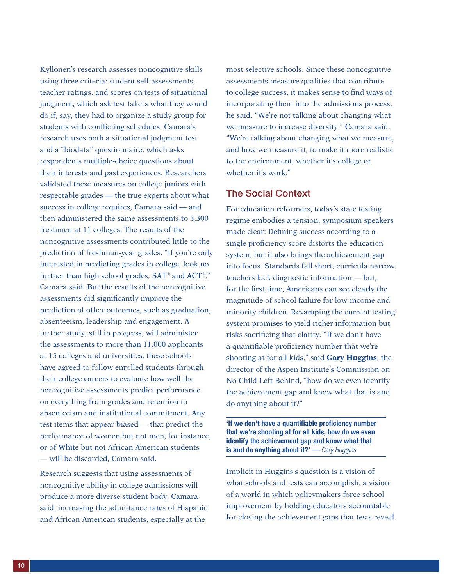Kyllonen's research assesses noncognitive skills using three criteria: student self-assessments, teacher ratings, and scores on tests of situational judgment, which ask test takers what they would do if, say, they had to organize a study group for students with conflicting schedules. Camara's research uses both a situational judgment test and a "biodata" questionnaire, which asks respondents multiple-choice questions about their interests and past experiences. Researchers validated these measures on college juniors with respectable grades — the true experts about what success in college requires, Camara said — and then administered the same assessments to 3,300 freshmen at 11 colleges. The results of the noncognitive assessments contributed little to the prediction of freshman-year grades. "If you're only interested in predicting grades in college, look no further than high school grades, SAT® and ACT®," Camara said. But the results of the noncognitive assessments did significantly improve the prediction of other outcomes, such as graduation, absenteeism, leadership and engagement. A further study, still in progress, will administer the assessments to more than 11,000 applicants at 15 colleges and universities; these schools have agreed to follow enrolled students through their college careers to evaluate how well the noncognitive assessments predict performance on everything from grades and retention to absenteeism and institutional commitment. Any test items that appear biased — that predict the performance of women but not men, for instance, or of White but not African American students — will be discarded, Camara said.

Research suggests that using assessments of noncognitive ability in college admissions will produce a more diverse student body, Camara said, increasing the admittance rates of Hispanic and African American students, especially at the

most selective schools. Since these noncognitive assessments measure qualities that contribute to college success, it makes sense to find ways of incorporating them into the admissions process, he said. "We're not talking about changing what we measure to increase diversity," Camara said. "We're talking about changing what we measure, and how we measure it, to make it more realistic to the environment, whether it's college or whether it's work."

#### The Social Context

For education reformers, today's state testing regime embodies a tension, symposium speakers made clear: Defining success according to a single proficiency score distorts the education system, but it also brings the achievement gap into focus. Standards fall short, curricula narrow, teachers lack diagnostic information — but, for the first time, Americans can see clearly the magnitude of school failure for low-income and minority children. Revamping the current testing system promises to yield richer information but risks sacrificing that clarity. "If we don't have a quantifiable proficiency number that we're shooting at for all kids," said **Gary Huggins**, the director of the Aspen Institute's Commission on No Child Left Behind, "how do we even identify the achievement gap and know what that is and do anything about it?"

'If we don't have a quantifiable proficiency number that we're shooting at for all kids, how do we even identify the achievement gap and know what that is and do anything about it?' *— Gary Huggins*

Implicit in Huggins's question is a vision of what schools and tests can accomplish, a vision of a world in which policymakers force school improvement by holding educators accountable for closing the achievement gaps that tests reveal.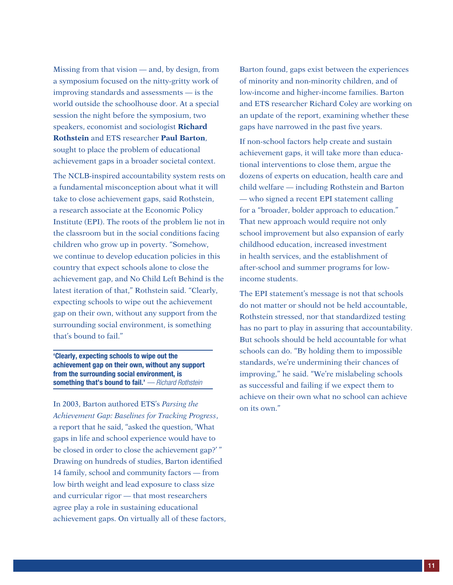Missing from that vision — and, by design, from a symposium focused on the nitty-gritty work of improving standards and assessments — is the world outside the schoolhouse door. At a special session the night before the symposium, two speakers, economist and sociologist **Richard Rothstein** and ETS researcher **Paul Barton**, sought to place the problem of educational achievement gaps in a broader societal context.

The NCLB-inspired accountability system rests on a fundamental misconception about what it will take to close achievement gaps, said Rothstein, a research associate at the Economic Policy Institute (EPI). The roots of the problem lie not in the classroom but in the social conditions facing children who grow up in poverty. "Somehow, we continue to develop education policies in this country that expect schools alone to close the achievement gap, and No Child Left Behind is the latest iteration of that," Rothstein said. "Clearly, expecting schools to wipe out the achievement gap on their own, without any support from the surrounding social environment, is something that's bound to fail."

'Clearly, expecting schools to wipe out the achievement gap on their own, without any support from the surrounding social environment, is something that's bound to fail.' *— Richard Rothstein*

In 2003, Barton authored ETS's *Parsing the Achievement Gap: Baselines for Tracking Progress*, a report that he said, "asked the question, 'What gaps in life and school experience would have to be closed in order to close the achievement gap?' " Drawing on hundreds of studies, Barton identified 14 family, school and community factors — from low birth weight and lead exposure to class size and curricular rigor — that most researchers agree play a role in sustaining educational achievement gaps. On virtually all of these factors, Barton found, gaps exist between the experiences of minority and non-minority children, and of low-income and higher-income families. Barton and ETS researcher Richard Coley are working on an update of the report, examining whether these gaps have narrowed in the past five years.

If non-school factors help create and sustain achievement gaps, it will take more than educational interventions to close them, argue the dozens of experts on education, health care and child welfare — including Rothstein and Barton — who signed a recent EPI statement calling for a "broader, bolder approach to education." That new approach would require not only school improvement but also expansion of early childhood education, increased investment in health services, and the establishment of after-school and summer programs for lowincome students.

The EPI statement's message is not that schools do not matter or should not be held accountable, Rothstein stressed, nor that standardized testing has no part to play in assuring that accountability. But schools should be held accountable for what schools can do. "By holding them to impossible standards, we're undermining their chances of improving," he said. "We're mislabeling schools as successful and failing if we expect them to achieve on their own what no school can achieve on its own."